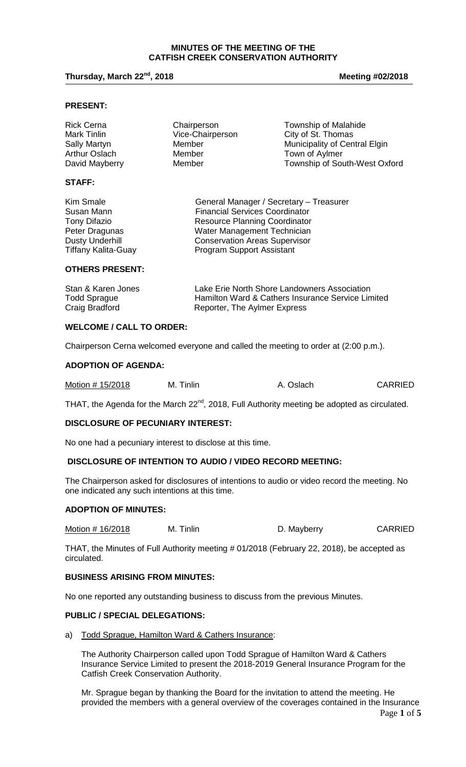### **MINUTES OF THE MEETING OF THE CATFISH CREEK CONSERVATION AUTHORITY**

### **Thursday, March 22nd, 2018 Meeting #02/2018**

#### **PRESENT:**

| <b>Rick Cerna</b> | Chairperson      | <b>Township of Malahide</b>   |
|-------------------|------------------|-------------------------------|
| Mark Tinlin       | Vice-Chairperson | City of St. Thomas            |
| Sally Martyn      | Member           | Municipality of Central Elgin |
| Arthur Oslach     | Member           | Town of Aylmer                |
| David Mayberry    | Member           | Township of South-West Oxford |
| <b>STAFF:</b>     |                  |                               |

| General Manager / Secretary - Treasurer |
|-----------------------------------------|
| <b>Financial Services Coordinator</b>   |
| <b>Resource Planning Coordinator</b>    |
| Water Management Technician             |
| <b>Conservation Areas Supervisor</b>    |
| <b>Program Support Assistant</b>        |
|                                         |

**OTHERS PRESENT:**

| Stan & Karen Jones  | Lake Erie North Shore Landowners Association      |
|---------------------|---------------------------------------------------|
| <b>Todd Sprague</b> | Hamilton Ward & Cathers Insurance Service Limited |
| Craig Bradford      | Reporter, The Aylmer Express                      |

#### **WELCOME / CALL TO ORDER:**

Chairperson Cerna welcomed everyone and called the meeting to order at (2:00 p.m.).

#### **ADOPTION OF AGENDA:**

| Motion # 15/2018<br>M. Tinlin | A. Oslach | <b>CARRIED</b> |
|-------------------------------|-----------|----------------|
|-------------------------------|-----------|----------------|

THAT, the Agenda for the March  $22^{nd}$ , 2018, Full Authority meeting be adopted as circulated.

#### **DISCLOSURE OF PECUNIARY INTEREST:**

No one had a pecuniary interest to disclose at this time.

# **DISCLOSURE OF INTENTION TO AUDIO / VIDEO RECORD MEETING:**

The Chairperson asked for disclosures of intentions to audio or video record the meeting. No one indicated any such intentions at this time.

### **ADOPTION OF MINUTES:**

Motion # 16/2018 M. Tinlin M. Tinlin D. Mayberry CARRIED

THAT, the Minutes of Full Authority meeting # 01/2018 (February 22, 2018), be accepted as circulated.

# **BUSINESS ARISING FROM MINUTES:**

No one reported any outstanding business to discuss from the previous Minutes.

### **PUBLIC / SPECIAL DELEGATIONS:**

a) Todd Sprague, Hamilton Ward & Cathers Insurance:

The Authority Chairperson called upon Todd Sprague of Hamilton Ward & Cathers Insurance Service Limited to present the 2018-2019 General Insurance Program for the Catfish Creek Conservation Authority.

Mr. Sprague began by thanking the Board for the invitation to attend the meeting. He provided the members with a general overview of the coverages contained in the Insurance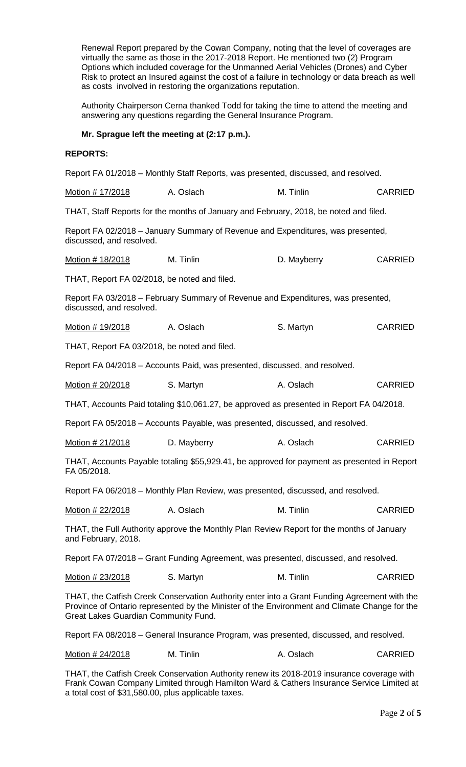Renewal Report prepared by the Cowan Company, noting that the level of coverages are virtually the same as those in the 2017-2018 Report. He mentioned two (2) Program Options which included coverage for the Unmanned Aerial Vehicles (Drones) and Cyber Risk to protect an Insured against the cost of a failure in technology or data breach as well as costs involved in restoring the organizations reputation.

Authority Chairperson Cerna thanked Todd for taking the time to attend the meeting and answering any questions regarding the General Insurance Program.

# **Mr. Sprague left the meeting at (2:17 p.m.).**

### **REPORTS:**

Report FA 01/2018 – Monthly Staff Reports, was presented, discussed, and resolved.

| Motion # 17/2018 | A. Oslach | M. Tinlin | <b>CARRIED</b> |
|------------------|-----------|-----------|----------------|
|------------------|-----------|-----------|----------------|

THAT, Staff Reports for the months of January and February, 2018, be noted and filed.

Report FA 02/2018 – January Summary of Revenue and Expenditures, was presented, discussed, and resolved.

Motion # 18/2018 M. Tinlin M. Tinlin D. Mayberry CARRIED

THAT, Report FA 02/2018, be noted and filed.

Report FA 03/2018 – February Summary of Revenue and Expenditures, was presented, discussed, and resolved.

Motion # 19/2018 A. Oslach S. Martyn S. Martyn

THAT, Report FA 03/2018, be noted and filed.

Report FA 04/2018 – Accounts Paid, was presented, discussed, and resolved.

Motion # 20/2018 S. Martyn A. Oslach CARRIED

THAT, Accounts Paid totaling \$10,061.27, be approved as presented in Report FA 04/2018.

Report FA 05/2018 – Accounts Payable, was presented, discussed, and resolved.

Motion # 21/2018 D. Mayberry A. Oslach CARRIED

THAT, Accounts Payable totaling \$55,929.41, be approved for payment as presented in Report FA 05/2018.

Report FA 06/2018 – Monthly Plan Review, was presented, discussed, and resolved.

Motion # 22/2018 A. Oslach M. Tinlin CARRIED

THAT, the Full Authority approve the Monthly Plan Review Report for the months of January and February, 2018.

Report FA 07/2018 – Grant Funding Agreement, was presented, discussed, and resolved.

Motion # 23/2018 S. Martyn M. Tinlin CARRIED

THAT, the Catfish Creek Conservation Authority enter into a Grant Funding Agreement with the Province of Ontario represented by the Minister of the Environment and Climate Change for the Great Lakes Guardian Community Fund.

Report FA 08/2018 – General Insurance Program, was presented, discussed, and resolved.

Motion # 24/2018 M. Tinlin A. Oslach CARRIED

THAT, the Catfish Creek Conservation Authority renew its 2018-2019 insurance coverage with Frank Cowan Company Limited through Hamilton Ward & Cathers Insurance Service Limited at a total cost of \$31,580.00, plus applicable taxes.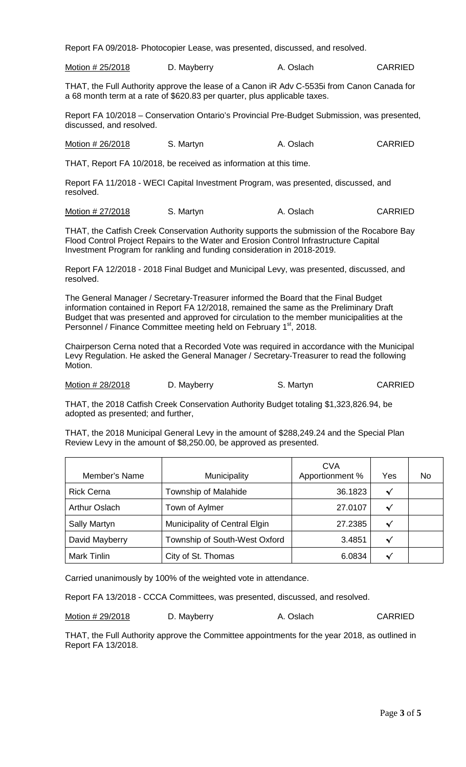Report FA 09/2018- Photocopier Lease, was presented, discussed, and resolved.

Motion # 25/2018 D. Mayberry CARRIED A. Oslach CARRIED

THAT, the Full Authority approve the lease of a Canon iR Adv C-5535i from Canon Canada for a 68 month term at a rate of \$620.83 per quarter, plus applicable taxes.

Report FA 10/2018 – Conservation Ontario's Provincial Pre-Budget Submission, was presented, discussed, and resolved.

Motion # 26/2018 S. Martyn A. Oslach CARRIED

THAT, Report FA 10/2018, be received as information at this time.

Report FA 11/2018 - WECI Capital Investment Program, was presented, discussed, and resolved.

Motion # 27/2018 S. Martyn CARRIED S. Martyn A. Oslach CARRIED

THAT, the Catfish Creek Conservation Authority supports the submission of the Rocabore Bay Flood Control Project Repairs to the Water and Erosion Control Infrastructure Capital Investment Program for rankling and funding consideration in 2018-2019.

Report FA 12/2018 - 2018 Final Budget and Municipal Levy, was presented, discussed, and resolved.

The General Manager / Secretary-Treasurer informed the Board that the Final Budget information contained in Report FA 12/2018, remained the same as the Preliminary Draft Budget that was presented and approved for circulation to the member municipalities at the Personnel / Finance Committee meeting held on February 1<sup>st</sup>, 2018.

Chairperson Cerna noted that a Recorded Vote was required in accordance with the Municipal Levy Regulation. He asked the General Manager / Secretary-Treasurer to read the following Motion.

Motion # 28/2018 D. Mayberry S. Martyn S. Martyn

THAT, the 2018 Catfish Creek Conservation Authority Budget totaling \$1,323,826.94, be adopted as presented; and further,

THAT, the 2018 Municipal General Levy in the amount of \$288,249.24 and the Special Plan Review Levy in the amount of \$8,250.00, be approved as presented.

| Member's Name        | Municipality                  | <b>CVA</b><br>Apportionment % | Yes          | No |
|----------------------|-------------------------------|-------------------------------|--------------|----|
| <b>Rick Cerna</b>    | Township of Malahide          | 36.1823                       | $\checkmark$ |    |
| <b>Arthur Oslach</b> | Town of Aylmer                | 27.0107                       | √            |    |
| <b>Sally Martyn</b>  | Municipality of Central Elgin | 27.2385                       |              |    |
| David Mayberry       | Township of South-West Oxford | 3.4851                        | √            |    |
| <b>Mark Tinlin</b>   | City of St. Thomas            | 6.0834                        |              |    |

Carried unanimously by 100% of the weighted vote in attendance.

Report FA 13/2018 - CCCA Committees, was presented, discussed, and resolved.

| Motion # 29/2018 | D. Mayberry | A. Oslach | <b>CARRIED</b> |
|------------------|-------------|-----------|----------------|
|------------------|-------------|-----------|----------------|

THAT, the Full Authority approve the Committee appointments for the year 2018, as outlined in Report FA 13/2018.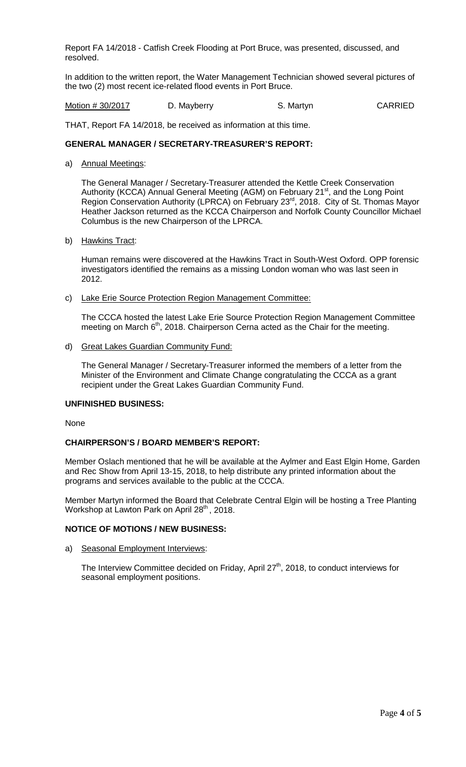Report FA 14/2018 - Catfish Creek Flooding at Port Bruce, was presented, discussed, and resolved.

In addition to the written report, the Water Management Technician showed several pictures of the two (2) most recent ice-related flood events in Port Bruce.

Motion # 30/2017 D. Mayberry S. Martyn S. Martyn

THAT, Report FA 14/2018, be received as information at this time.

# **GENERAL MANAGER / SECRETARY-TREASURER'S REPORT:**

a) Annual Meetings:

The General Manager / Secretary-Treasurer attended the Kettle Creek Conservation Authority (KCCA) Annual General Meeting (AGM) on February 21<sup>st</sup>, and the Long Point Region Conservation Authority (LPRCA) on February 23<sup>rd</sup>, 2018. City of St. Thomas Mayor Heather Jackson returned as the KCCA Chairperson and Norfolk County Councillor Michael Columbus is the new Chairperson of the LPRCA.

b) Hawkins Tract:

Human remains were discovered at the Hawkins Tract in South-West Oxford. OPP forensic investigators identified the remains as a missing London woman who was last seen in 2012.

c) Lake Erie Source Protection Region Management Committee:

The CCCA hosted the latest Lake Erie Source Protection Region Management Committee meeting on March  $6<sup>th</sup>$ , 2018. Chairperson Cerna acted as the Chair for the meeting.

d) Great Lakes Guardian Community Fund:

The General Manager / Secretary-Treasurer informed the members of a letter from the Minister of the Environment and Climate Change congratulating the CCCA as a grant recipient under the Great Lakes Guardian Community Fund.

#### **UNFINISHED BUSINESS:**

None

### **CHAIRPERSON'S / BOARD MEMBER'S REPORT:**

Member Oslach mentioned that he will be available at the Aylmer and East Elgin Home, Garden and Rec Show from April 13-15, 2018, to help distribute any printed information about the programs and services available to the public at the CCCA.

Member Martyn informed the Board that Celebrate Central Elgin will be hosting a Tree Planting Workshop at Lawton Park on April 28<sup>th</sup>, 2018.

### **NOTICE OF MOTIONS / NEW BUSINESS:**

a) Seasonal Employment Interviews:

The Interview Committee decided on Friday, April 27<sup>th</sup>, 2018, to conduct interviews for seasonal employment positions.